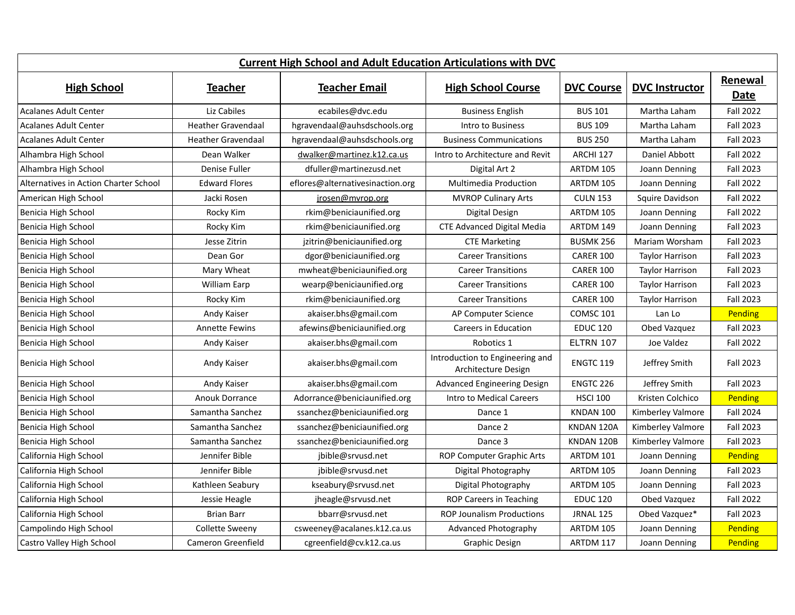| <b>Current High School and Adult Education Articulations with DVC</b> |                           |                                  |                                                        |                   |                        |                  |
|-----------------------------------------------------------------------|---------------------------|----------------------------------|--------------------------------------------------------|-------------------|------------------------|------------------|
| <b>High School</b>                                                    | <b>Teacher</b>            | <b>Teacher Email</b>             | <b>High School Course</b>                              | <b>DVC Course</b> | <b>DVC Instructor</b>  | Renewal<br>Date  |
| <b>Acalanes Adult Center</b>                                          | Liz Cabiles               | ecabiles@dvc.edu                 | <b>Business English</b>                                | <b>BUS 101</b>    | Martha Laham           | <b>Fall 2022</b> |
| <b>Acalanes Adult Center</b>                                          | <b>Heather Gravendaal</b> | hgravendaal@auhsdschools.org     | Intro to Business                                      | <b>BUS 109</b>    | Martha Laham           | Fall 2023        |
| <b>Acalanes Adult Center</b>                                          | <b>Heather Gravendaal</b> | hgravendaal@auhsdschools.org     | <b>Business Communications</b>                         | <b>BUS 250</b>    | Martha Laham           | Fall 2023        |
| Alhambra High School                                                  | Dean Walker               | dwalker@martinez.k12.ca.us       | Intro to Architecture and Revit                        | ARCHI 127         | Daniel Abbott          | <b>Fall 2022</b> |
| Alhambra High School                                                  | Denise Fuller             | dfuller@martinezusd.net          | Digital Art 2                                          | ARTDM 105         | Joann Denning          | Fall 2023        |
| Alternatives in Action Charter School                                 | <b>Edward Flores</b>      | eflores@alternativesinaction.org | <b>Multimedia Production</b>                           | ARTDM 105         | Joann Denning          | <b>Fall 2022</b> |
| American High School                                                  | Jacki Rosen               | jrosen@mvrop.org                 | <b>MVROP Culinary Arts</b>                             | <b>CULN 153</b>   | Squire Davidson        | Fall 2022        |
| Benicia High School                                                   | Rocky Kim                 | rkim@beniciaunified.org          | Digital Design                                         | ARTDM 105         | Joann Denning          | <b>Fall 2022</b> |
| Benicia High School                                                   | Rocky Kim                 | rkim@beniciaunified.org          | <b>CTE Advanced Digital Media</b>                      | ARTDM 149         | Joann Denning          | Fall 2023        |
| Benicia High School                                                   | Jesse Zitrin              | jzitrin@beniciaunified.org       | <b>CTE Marketing</b>                                   | <b>BUSMK 256</b>  | Mariam Worsham         | Fall 2023        |
| Benicia High School                                                   | Dean Gor                  | dgor@beniciaunified.org          | <b>Career Transitions</b>                              | <b>CARER 100</b>  | <b>Taylor Harrison</b> | Fall 2023        |
| Benicia High School                                                   | Mary Wheat                | mwheat@beniciaunified.org        | <b>Career Transitions</b>                              | <b>CARER 100</b>  | <b>Taylor Harrison</b> | Fall 2023        |
| Benicia High School                                                   | <b>William Earp</b>       | wearp@beniciaunified.org         | <b>Career Transitions</b>                              | <b>CARER 100</b>  | <b>Taylor Harrison</b> | Fall 2023        |
| Benicia High School                                                   | Rocky Kim                 | rkim@beniciaunified.org          | <b>Career Transitions</b>                              | <b>CARER 100</b>  | <b>Taylor Harrison</b> | Fall 2023        |
| Benicia High School                                                   | Andy Kaiser               | akaiser.bhs@gmail.com            | AP Computer Science                                    | COMSC 101         | Lan Lo                 | Pending          |
| Benicia High School                                                   | <b>Annette Fewins</b>     | afewins@beniciaunified.org       | Careers in Education                                   | <b>EDUC 120</b>   | Obed Vazquez           | Fall 2023        |
| Benicia High School                                                   | Andy Kaiser               | akaiser.bhs@gmail.com            | Robotics 1                                             | <b>ELTRN 107</b>  | Joe Valdez             | <b>Fall 2022</b> |
| Benicia High School                                                   | Andy Kaiser               | akaiser.bhs@gmail.com            | Introduction to Engineering and<br>Architecture Design | <b>ENGTC 119</b>  | Jeffrey Smith          | Fall 2023        |
| Benicia High School                                                   | Andy Kaiser               | akaiser.bhs@gmail.com            | Advanced Engineering Design                            | <b>ENGTC 226</b>  | Jeffrey Smith          | Fall 2023        |
| Benicia High School                                                   | <b>Anouk Dorrance</b>     | Adorrance@beniciaunified.org     | Intro to Medical Careers                               | <b>HSCI 100</b>   | Kristen Colchico       | Pending          |
| Benicia High School                                                   | Samantha Sanchez          | ssanchez@beniciaunified.org      | Dance 1                                                | KNDAN 100         | Kimberley Valmore      | Fall 2024        |
| Benicia High School                                                   | Samantha Sanchez          | ssanchez@beniciaunified.org      | Dance 2                                                | KNDAN 120A        | Kimberley Valmore      | Fall 2023        |
| Benicia High School                                                   | Samantha Sanchez          | ssanchez@beniciaunified.org      | Dance 3                                                | KNDAN 120B        | Kimberley Valmore      | Fall 2023        |
| California High School                                                | Jennifer Bible            | jbible@srvusd.net                | ROP Computer Graphic Arts                              | ARTDM 101         | Joann Denning          | Pending          |
| California High School                                                | Jennifer Bible            | jbible@srvusd.net                | Digital Photography                                    | ARTDM 105         | Joann Denning          | Fall 2023        |
| California High School                                                | Kathleen Seabury          | kseabury@srvusd.net              | Digital Photography                                    | ARTDM 105         | Joann Denning          | Fall 2023        |
| California High School                                                | Jessie Heagle             | jheagle@srvusd.net               | ROP Careers in Teaching                                | <b>EDUC 120</b>   | Obed Vazquez           | <b>Fall 2022</b> |
| California High School                                                | <b>Brian Barr</b>         | bbarr@srvusd.net                 | <b>ROP Jounalism Productions</b>                       | <b>JRNAL 125</b>  | Obed Vazquez*          | Fall 2023        |
| Campolindo High School                                                | <b>Collette Sweeny</b>    | csweeney@acalanes.k12.ca.us      | Advanced Photography                                   | ARTDM 105         | Joann Denning          | Pending          |
| Castro Valley High School                                             | <b>Cameron Greenfield</b> | cgreenfield@cv.k12.ca.us         | Graphic Design                                         | ARTDM 117         | Joann Denning          | Pending          |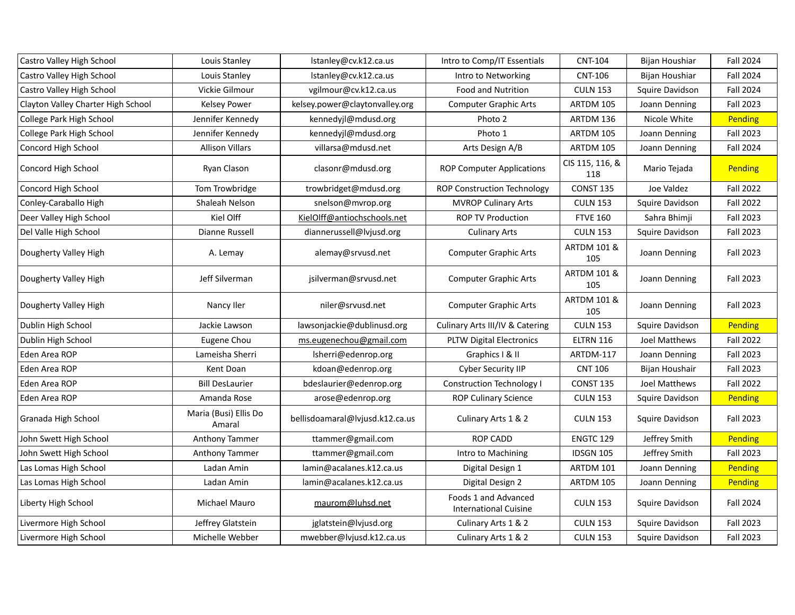| Castro Valley High School          | Louis Stanley                   | lstanley@cv.k12.ca.us           | Intro to Comp/IT Essentials                          | <b>CNT-104</b>                | Bijan Houshiar  | <b>Fall 2024</b> |
|------------------------------------|---------------------------------|---------------------------------|------------------------------------------------------|-------------------------------|-----------------|------------------|
| Castro Valley High School          | Louis Stanley                   | lstanley@cv.k12.ca.us           | Intro to Networking                                  | <b>CNT-106</b>                | Bijan Houshiar  | Fall 2024        |
| Castro Valley High School          | Vickie Gilmour                  | vgilmour@cv.k12.ca.us           | <b>Food and Nutrition</b>                            | <b>CULN 153</b>               | Squire Davidson | <b>Fall 2024</b> |
| Clayton Valley Charter High School | <b>Kelsey Power</b>             | kelsey.power@claytonvalley.org  | <b>Computer Graphic Arts</b>                         | ARTDM 105                     | Joann Denning   | <b>Fall 2023</b> |
| College Park High School           | Jennifer Kennedy                | kennedyjl@mdusd.org             | Photo 2                                              | ARTDM 136                     | Nicole White    | Pending          |
| College Park High School           | Jennifer Kennedy                | kennedyjl@mdusd.org             | Photo 1                                              | ARTDM 105                     | Joann Denning   | <b>Fall 2023</b> |
| Concord High School                | <b>Allison Villars</b>          | villarsa@mdusd.net              | Arts Design A/B                                      | ARTDM 105                     | Joann Denning   | Fall 2024        |
| Concord High School                | Ryan Clason                     | clasonr@mdusd.org               | <b>ROP Computer Applications</b>                     | CIS 115, 116, &<br>118        | Mario Tejada    | <b>Pending</b>   |
| Concord High School                | Tom Trowbridge                  | trowbridget@mdusd.org           | <b>ROP Construction Technology</b>                   | <b>CONST 135</b>              | Joe Valdez      | <b>Fall 2022</b> |
| Conley-Caraballo High              | Shaleah Nelson                  | snelson@mvrop.org               | <b>MVROP Culinary Arts</b>                           | <b>CULN 153</b>               | Squire Davidson | <b>Fall 2022</b> |
| Deer Valley High School            | Kiel Olff                       | KielOlff@antiochschools.net     | <b>ROP TV Production</b>                             | <b>FTVE 160</b>               | Sahra Bhimji    | Fall 2023        |
| Del Valle High School              | Dianne Russell                  | diannerussell@lvjusd.org        | <b>Culinary Arts</b>                                 | <b>CULN 153</b>               | Squire Davidson | <b>Fall 2023</b> |
| Dougherty Valley High              | A. Lemay                        | alemay@srvusd.net               | <b>Computer Graphic Arts</b>                         | <b>ARTDM 101 &amp;</b><br>105 | Joann Denning   | <b>Fall 2023</b> |
| Dougherty Valley High              | Jeff Silverman                  | jsilverman@srvusd.net           | <b>Computer Graphic Arts</b>                         | <b>ARTDM 101 &amp;</b><br>105 | Joann Denning   | <b>Fall 2023</b> |
| Dougherty Valley High              | Nancy Iler                      | niler@srvusd.net                | <b>Computer Graphic Arts</b>                         | <b>ARTDM 101 &amp;</b><br>105 | Joann Denning   | <b>Fall 2023</b> |
| Dublin High School                 | Jackie Lawson                   | lawsonjackie@dublinusd.org      | Culinary Arts III/IV & Catering                      | <b>CULN 153</b>               | Squire Davidson | Pending          |
| Dublin High School                 | Eugene Chou                     | ms.eugenechou@gmail.com         | <b>PLTW Digital Electronics</b>                      | <b>ELTRN 116</b>              | Joel Matthews   | <b>Fall 2022</b> |
| Eden Area ROP                      | Lameisha Sherri                 | Isherri@edenrop.org             | Graphics I & II                                      | ARTDM-117                     | Joann Denning   | <b>Fall 2023</b> |
| Eden Area ROP                      | Kent Doan                       | kdoan@edenrop.org               | Cyber Security IIP                                   | <b>CNT 106</b>                | Bijan Houshair  | Fall 2023        |
| Eden Area ROP                      | <b>Bill DesLaurier</b>          | bdeslaurier@edenrop.org         | <b>Construction Technology I</b>                     | <b>CONST 135</b>              | Joel Matthews   | <b>Fall 2022</b> |
| Eden Area ROP                      | Amanda Rose                     | arose@edenrop.org               | <b>ROP Culinary Science</b>                          | <b>CULN 153</b>               | Squire Davidson | Pending          |
| Granada High School                | Maria (Busi) Ellis Do<br>Amaral | bellisdoamaral@lvjusd.k12.ca.us | Culinary Arts 1 & 2                                  | <b>CULN 153</b>               | Squire Davidson | <b>Fall 2023</b> |
| John Swett High School             | <b>Anthony Tammer</b>           | ttammer@gmail.com               | <b>ROP CADD</b>                                      | <b>ENGTC 129</b>              | Jeffrey Smith   | Pending          |
| John Swett High School             | Anthony Tammer                  | ttammer@gmail.com               | Intro to Machining                                   | IDSGN 105                     | Jeffrey Smith   | Fall 2023        |
| Las Lomas High School              | Ladan Amin                      | lamin@acalanes.k12.ca.us        | Digital Design 1                                     | ARTDM 101                     | Joann Denning   | Pending          |
| Las Lomas High School              | Ladan Amin                      | lamin@acalanes.k12.ca.us        | Digital Design 2                                     | ARTDM 105                     | Joann Denning   | <b>Pending</b>   |
| Liberty High School                | Michael Mauro                   | maurom@luhsd.net                | Foods 1 and Advanced<br><b>International Cuisine</b> | <b>CULN 153</b>               | Squire Davidson | <b>Fall 2024</b> |
| Livermore High School              | Jeffrey Glatstein               | jglatstein@lvjusd.org           | Culinary Arts 1 & 2                                  | <b>CULN 153</b>               | Squire Davidson | Fall 2023        |
| Livermore High School              | Michelle Webber                 | mwebber@lvjusd.k12.ca.us        | Culinary Arts 1 & 2                                  | <b>CULN 153</b>               | Squire Davidson | Fall 2023        |